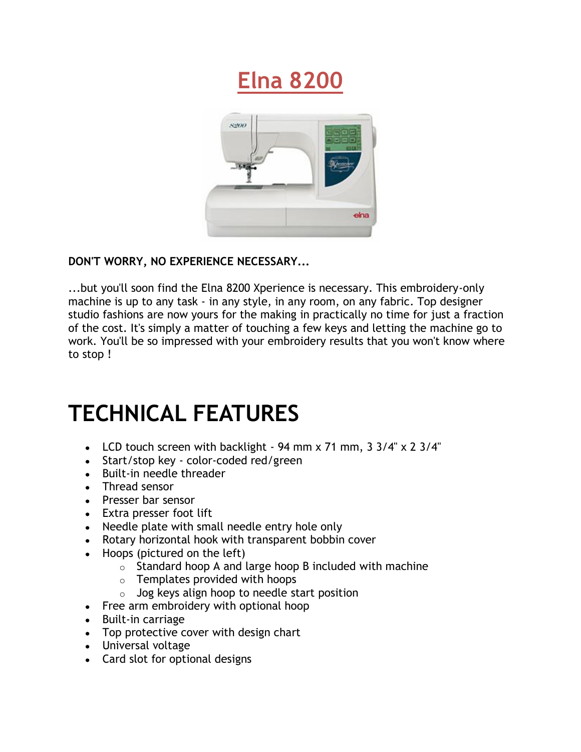



## **DON'T WORRY, NO EXPERIENCE NECESSARY...**

...but you'll soon find the Elna 8200 Xperience is necessary. This embroidery-only machine is up to any task - in any style, in any room, on any fabric. Top designer studio fashions are now yours for the making in practically no time for just a fraction of the cost. It's simply a matter of touching a few keys and letting the machine go to work. You'll be so impressed with your embroidery results that you won't know where to stop !

## **TECHNICAL FEATURES**

- LCD touch screen with backlight 94 mm x 71 mm, 3 3/4" x 2 3/4"
- Start/stop key color-coded red/green
- Built-in needle threader
- Thread sensor
- Presser bar sensor
- Extra presser foot lift
- Needle plate with small needle entry hole only
- Rotary horizontal hook with transparent bobbin cover
- Hoops (pictured on the left)
	- $\circ$  Standard hoop A and large hoop B included with machine
	- $\circ$  Templates provided with hoops
	- $\circ$  Jog keys align hoop to needle start position
- Free arm embroidery with optional hoop
- Built-in carriage
- Top protective cover with design chart
- Universal voltage
- Card slot for optional designs